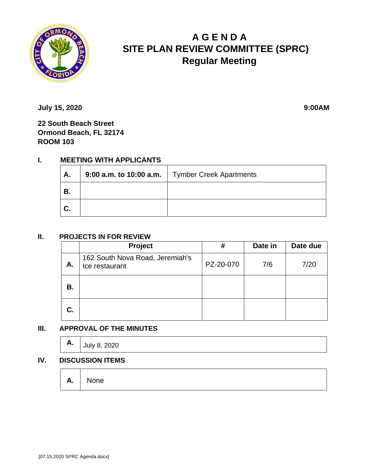

# **A G E N D A SITE PLAN REVIEW COMMITTEE (SPRC) Regular Meeting**

**July 15, 2020 9:00AM** 

**22 South Beach Street Ormond Beach, FL 32174 ROOM 103**

# **I. MEETING WITH APPLICANTS**

| Α.             | 9:00 a.m. to 10:00 a.m.   Tymber Creek Apartments |
|----------------|---------------------------------------------------|
| ' В.           |                                                   |
| $\mathbf{C}$ . |                                                   |

### **II. PROJECTS IN FOR REVIEW**

|    | Project                                           | #         | Date in | Date due |
|----|---------------------------------------------------|-----------|---------|----------|
| Α. | 162 South Nova Road, Jeremiah's<br>Ice restaurant | PZ-20-070 | 7/6     | 7/20     |
| В. |                                                   |           |         |          |
| C. |                                                   |           |         |          |

## **III. APPROVAL OF THE MINUTES**

| А. | July 8, 2020 |  |  |  |
|----|--------------|--|--|--|
|----|--------------|--|--|--|

### **IV. DISCUSSION ITEMS**

**A.** None